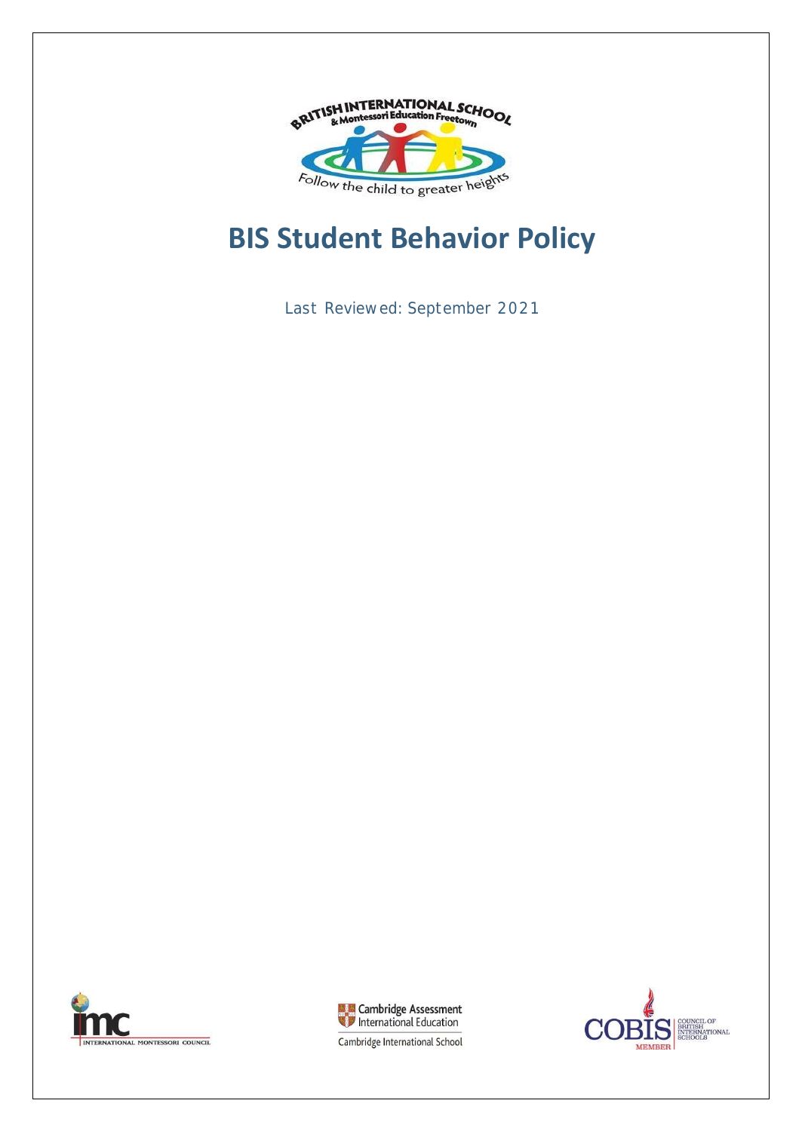

# **BIS Student Behavior Policy**

Last Reviewed: September 2021





COUNCIL OF<br>BRITISH<br>INTERNATIONAL<br>SCHOOLS Э **MEMBER** 

Cambridge International School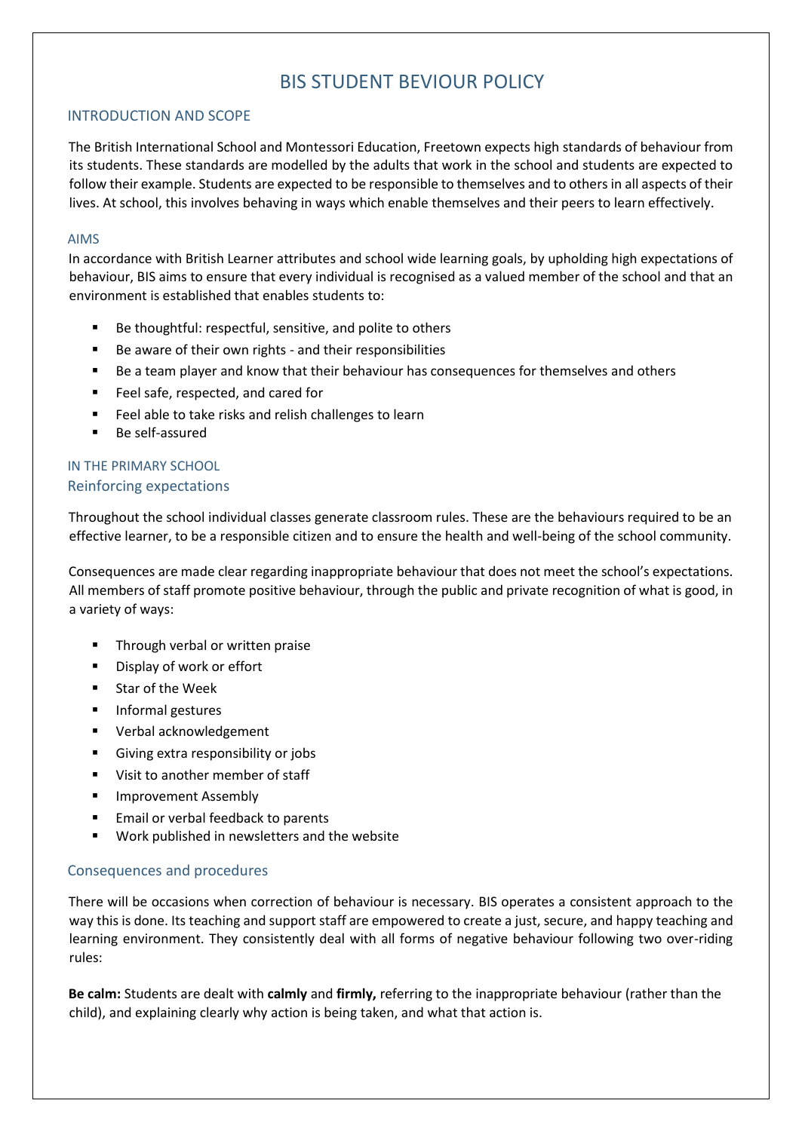### BIS STUDENT BEVIOUR POLICY

#### INTRODUCTION AND SCOPE

The British International School and Montessori Education, Freetown expects high standards of behaviour from its students. These standards are modelled by the adults that work in the school and students are expected to follow their example. Students are expected to be responsible to themselves and to others in all aspects of their lives. At school, this involves behaving in ways which enable themselves and their peers to learn effectively.

#### AIMS

In accordance with British Learner attributes and school wide learning goals, by upholding high expectations of behaviour, BIS aims to ensure that every individual is recognised as a valued member of the school and that an environment is established that enables students to:

- Be thoughtful: respectful, sensitive, and polite to others
- Be aware of their own rights and their responsibilities
- Be a team player and know that their behaviour has consequences for themselves and others
- Feel safe, respected, and cared for
- Feel able to take risks and relish challenges to learn
- Be self-assured

#### IN THE PRIMARY SCHOOL Reinforcing expectations

Throughout the school individual classes generate classroom rules. These are the behaviours required to be an effective learner, to be a responsible citizen and to ensure the health and well-being of the school community.

Consequences are made clear regarding inappropriate behaviour that does not meet the school's expectations. All members of staff promote positive behaviour, through the public and private recognition of what is good, in a variety of ways:

- Through verbal or written praise
- Display of work or effort
- Star of the Week
- Informal gestures
- Verbal acknowledgement
- Giving extra responsibility or jobs
- Visit to another member of staff
- Improvement Assembly
- Email or verbal feedback to parents
- Work published in newsletters and the website

#### Consequences and procedures

There will be occasions when correction of behaviour is necessary. BIS operates a consistent approach to the way this is done. Its teaching and support staff are empowered to create a just, secure, and happy teaching and learning environment. They consistently deal with all forms of negative behaviour following two over-riding rules:

**Be calm:** Students are dealt with **calmly** and **firmly,** referring to the inappropriate behaviour (rather than the child), and explaining clearly why action is being taken, and what that action is.